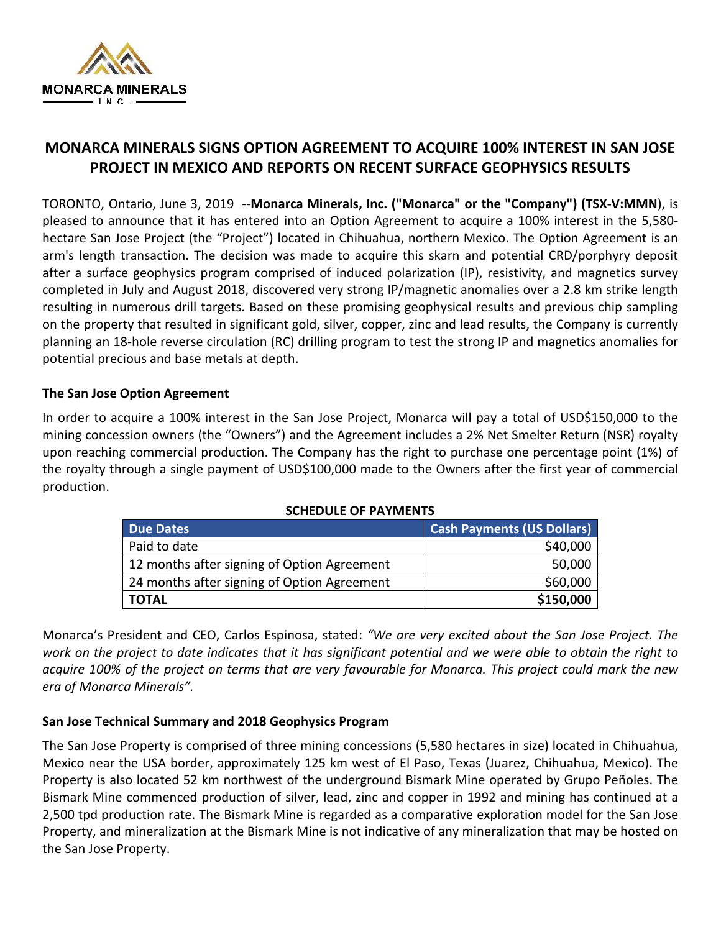

# **MONARCA MINERALS SIGNS OPTION AGREEMENT TO ACQUIRE 100% INTEREST IN SAN JOSE PROJECT IN MEXICO AND REPORTS ON RECENT SURFACE GEOPHYSICS RESULTS**

TORONTO, Ontario, June 3, 2019 --**Monarca Minerals, Inc. ("Monarca" or the "Company") (TSX-V:MMN**), is pleased to announce that it has entered into an Option Agreement to acquire a 100% interest in the 5,580 hectare San Jose Project (the "Project") located in Chihuahua, northern Mexico. The Option Agreement is an arm's length transaction. The decision was made to acquire this skarn and potential CRD/porphyry deposit after a surface geophysics program comprised of induced polarization (IP), resistivity, and magnetics survey completed in July and August 2018, discovered very strong IP/magnetic anomalies over a 2.8 km strike length resulting in numerous drill targets. Based on these promising geophysical results and previous chip sampling on the property that resulted in significant gold, silver, copper, zinc and lead results, the Company is currently planning an 18-hole reverse circulation (RC) drilling program to test the strong IP and magnetics anomalies for potential precious and base metals at depth.

### **The San Jose Option Agreement**

In order to acquire a 100% interest in the San Jose Project, Monarca will pay a total of USD\$150,000 to the mining concession owners (the "Owners") and the Agreement includes a 2% Net Smelter Return (NSR) royalty upon reaching commercial production. The Company has the right to purchase one percentage point (1%) of the royalty through a single payment of USD\$100,000 made to the Owners after the first year of commercial production.

| <b>Due Dates</b>                            | <b>Cash Payments (US Dollars)</b> |
|---------------------------------------------|-----------------------------------|
| Paid to date                                | \$40,000                          |
| 12 months after signing of Option Agreement | 50,000                            |
| 24 months after signing of Option Agreement | \$60,000                          |
| <b>TOTAL</b>                                | \$150,000                         |

### **SCHEDULE OF PAYMENTS**

Monarca's President and CEO, Carlos Espinosa, stated: *"We are very excited about the San Jose Project. The*  work on the project to date indicates that it has significant potential and we were able to obtain the right to *acquire 100% of the project on terms that are very favourable for Monarca. This project could mark the new era of Monarca Minerals".* 

## **San Jose Technical Summary and 2018 Geophysics Program**

The San Jose Property is comprised of three mining concessions (5,580 hectares in size) located in Chihuahua, Mexico near the USA border, approximately 125 km west of El Paso, Texas (Juarez, Chihuahua, Mexico). The Property is also located 52 km northwest of the underground Bismark Mine operated by Grupo Peñoles. The Bismark Mine commenced production of silver, lead, zinc and copper in 1992 and mining has continued at a 2,500 tpd production rate. The Bismark Mine is regarded as a comparative exploration model for the San Jose Property, and mineralization at the Bismark Mine is not indicative of any mineralization that may be hosted on the San Jose Property.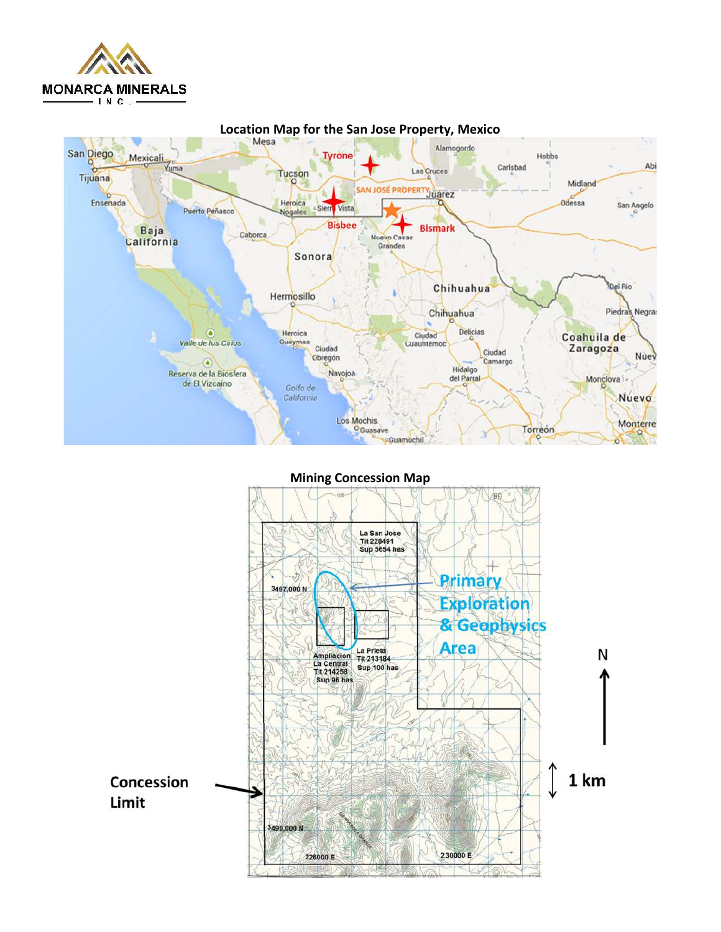



**Mining Concession Map** 

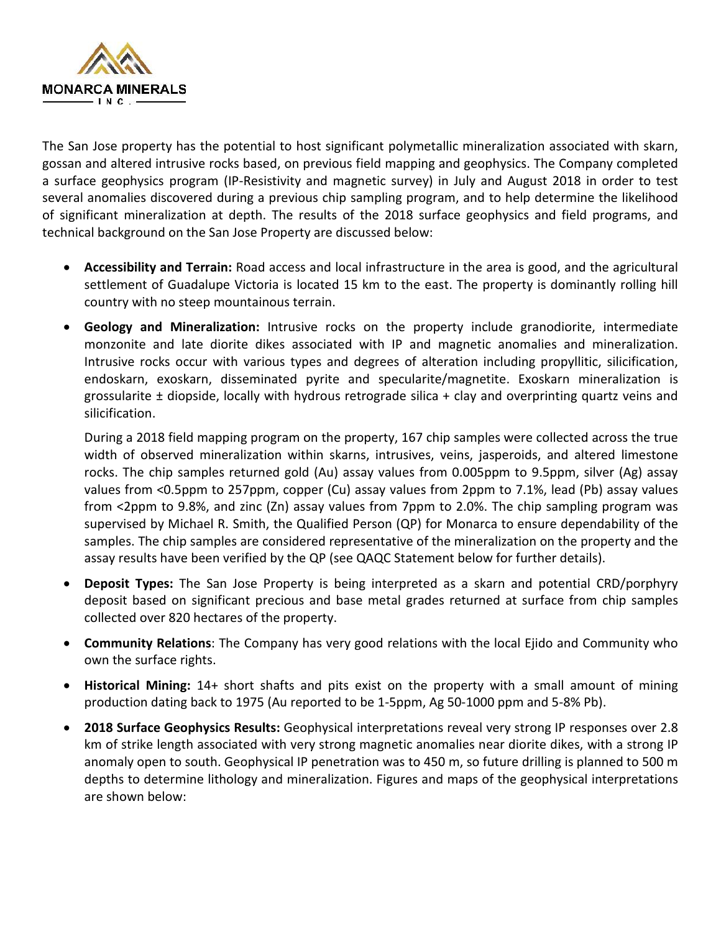

The San Jose property has the potential to host significant polymetallic mineralization associated with skarn, gossan and altered intrusive rocks based, on previous field mapping and geophysics. The Company completed a surface geophysics program (IP-Resistivity and magnetic survey) in July and August 2018 in order to test several anomalies discovered during a previous chip sampling program, and to help determine the likelihood of significant mineralization at depth. The results of the 2018 surface geophysics and field programs, and technical background on the San Jose Property are discussed below:

- **Accessibility and Terrain:** Road access and local infrastructure in the area is good, and the agricultural settlement of Guadalupe Victoria is located 15 km to the east. The property is dominantly rolling hill country with no steep mountainous terrain.
- **Geology and Mineralization:** Intrusive rocks on the property include granodiorite, intermediate monzonite and late diorite dikes associated with IP and magnetic anomalies and mineralization. Intrusive rocks occur with various types and degrees of alteration including propyllitic, silicification, endoskarn, exoskarn, disseminated pyrite and specularite/magnetite. Exoskarn mineralization is grossularite ± diopside, locally with hydrous retrograde silica + clay and overprinting quartz veins and silicification.

During a 2018 field mapping program on the property, 167 chip samples were collected across the true width of observed mineralization within skarns, intrusives, veins, jasperoids, and altered limestone rocks. The chip samples returned gold (Au) assay values from 0.005ppm to 9.5ppm, silver (Ag) assay values from <0.5ppm to 257ppm, copper (Cu) assay values from 2ppm to 7.1%, lead (Pb) assay values from <2ppm to 9.8%, and zinc (Zn) assay values from 7ppm to 2.0%. The chip sampling program was supervised by Michael R. Smith, the Qualified Person (QP) for Monarca to ensure dependability of the samples. The chip samples are considered representative of the mineralization on the property and the assay results have been verified by the QP (see QAQC Statement below for further details).

- **Deposit Types:** The San Jose Property is being interpreted as a skarn and potential CRD/porphyry deposit based on significant precious and base metal grades returned at surface from chip samples collected over 820 hectares of the property.
- **Community Relations**: The Company has very good relations with the local Ejido and Community who own the surface rights.
- **Historical Mining:** 14+ short shafts and pits exist on the property with a small amount of mining production dating back to 1975 (Au reported to be 1-5ppm, Ag 50-1000 ppm and 5-8% Pb).
- **2018 Surface Geophysics Results:** Geophysical interpretations reveal very strong IP responses over 2.8 km of strike length associated with very strong magnetic anomalies near diorite dikes, with a strong IP anomaly open to south. Geophysical IP penetration was to 450 m, so future drilling is planned to 500 m depths to determine lithology and mineralization. Figures and maps of the geophysical interpretations are shown below: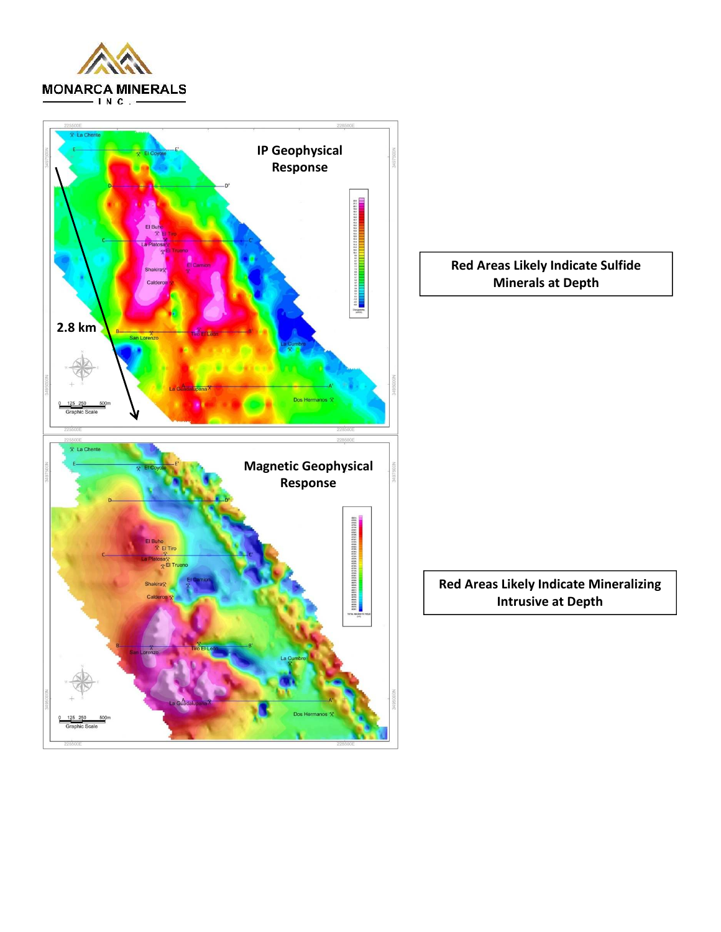

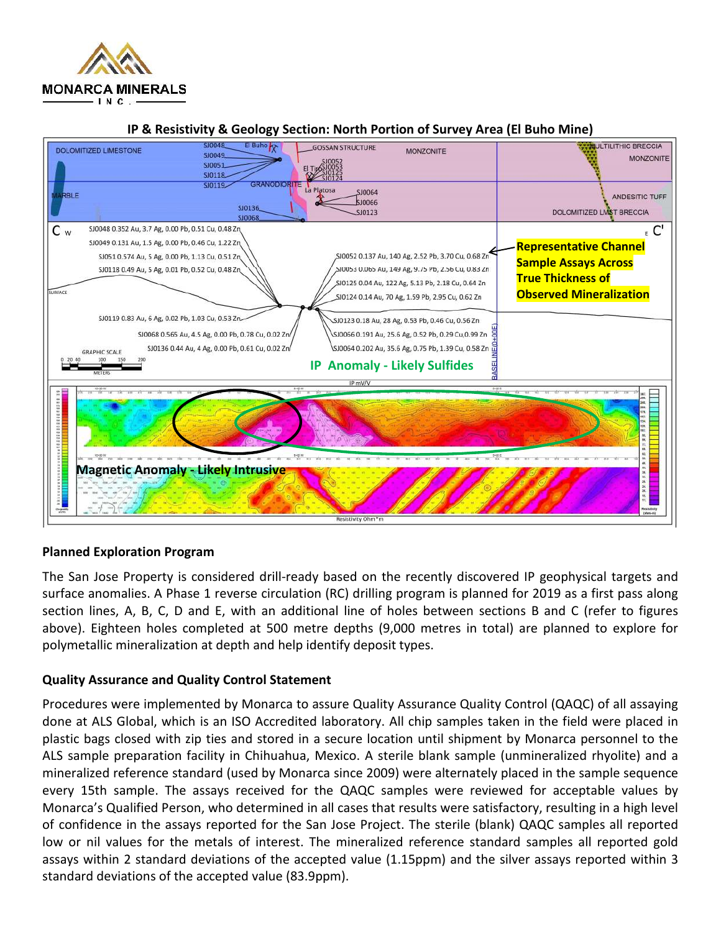



#### **IP & Resistivity & Geology Section: North Portion of Survey Area (El Buho Mine)**

### **Planned Exploration Program**

The San Jose Property is considered drill-ready based on the recently discovered IP geophysical targets and surface anomalies. A Phase 1 reverse circulation (RC) drilling program is planned for 2019 as a first pass along section lines, A, B, C, D and E, with an additional line of holes between sections B and C (refer to figures above). Eighteen holes completed at 500 metre depths (9,000 metres in total) are planned to explore for polymetallic mineralization at depth and help identify deposit types.

### **Quality Assurance and Quality Control Statement**

Procedures were implemented by Monarca to assure Quality Assurance Quality Control (QAQC) of all assaying done at ALS Global, which is an ISO Accredited laboratory. All chip samples taken in the field were placed in plastic bags closed with zip ties and stored in a secure location until shipment by Monarca personnel to the ALS sample preparation facility in Chihuahua, Mexico. A sterile blank sample (unmineralized rhyolite) and a mineralized reference standard (used by Monarca since 2009) were alternately placed in the sample sequence every 15th sample. The assays received for the QAQC samples were reviewed for acceptable values by Monarca's Qualified Person, who determined in all cases that results were satisfactory, resulting in a high level of confidence in the assays reported for the San Jose Project. The sterile (blank) QAQC samples all reported low or nil values for the metals of interest. The mineralized reference standard samples all reported gold assays within 2 standard deviations of the accepted value (1.15ppm) and the silver assays reported within 3 standard deviations of the accepted value (83.9ppm).